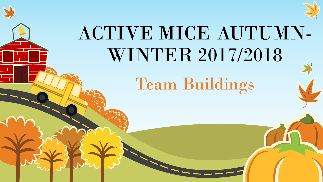



# ACTIVE MICE AUTUMN-WINTER 2017/2018

## Team Buildings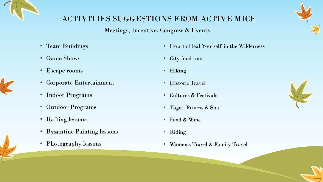

## ACTIVITIES SUGGESTIONS FROM ACTIVE MICE

## Meetings, Incentive, Congress & Events

- Team Buildings
- Game Shows
- Escape rooms
- Corporate Entertainment
- Indoor Programs
- Outdoor Programs
- Rafting lessons
- Byzantine Painting lessons
- Photography lessons
- How to Heal Yourself in the Wilderness
- City food tour
- Hiking
- Historic Travel
- Cultures & Festivals
- Yoga , Fitness & Spa
- Food & Wine
- Riding
- Women's Travel & Family Travel



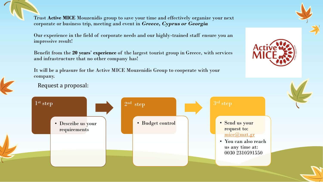Trust **Active MICE** Mouzenidis group to save your time and effectively organize your next corporate or business trip, meeting and event in *Greece, Cyprus or Georgia*

Our experience in the field of corporate needs and our highly-trained staff ensure you an impressive result!

Benefit from the **20 years**' **experience** of the largest tourist group in Greece, with services and infrastructure that no other company has!

It will be a pleasure for the Active MICE Mouzenidis Group to cooperate with your company.